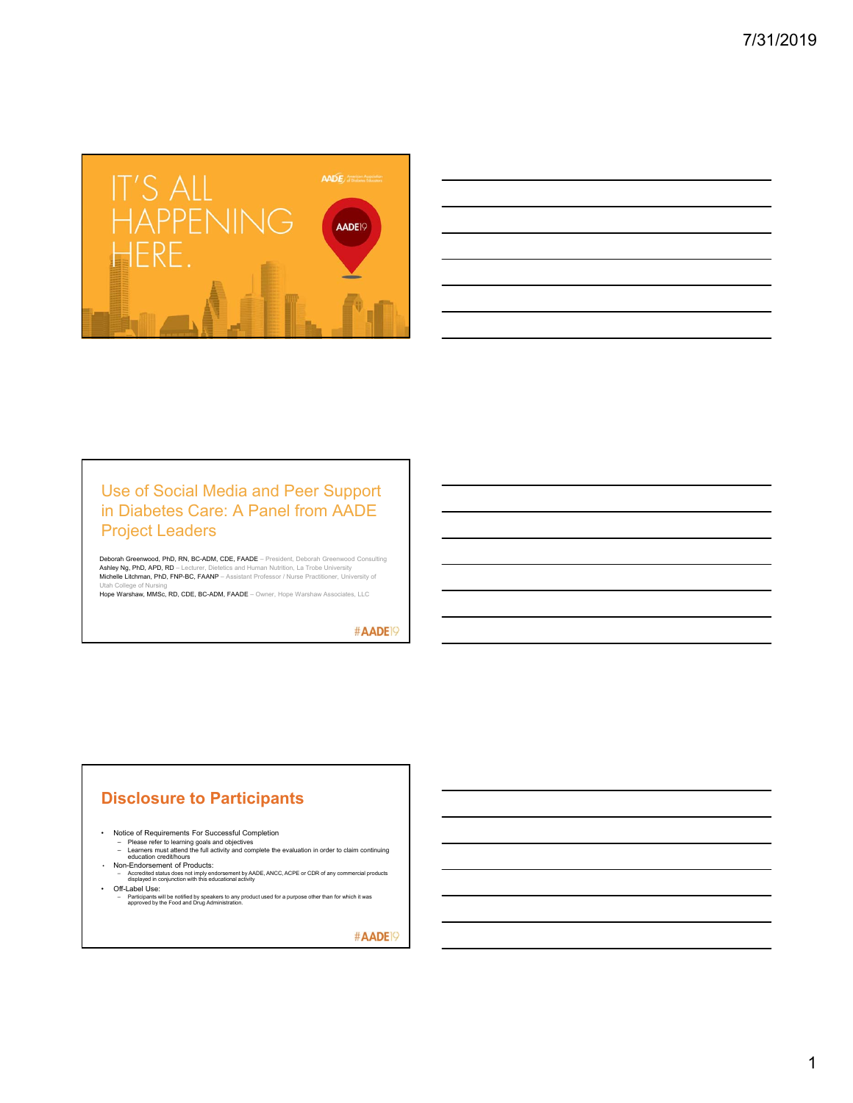

| ,我们也不会有一个人的事情。""我们的人们是不是我们的人,我们也不会有一个人的人,我们也不会有一个人的人,我们也不会有一个人的人,我们也不会有一个人的人,我们也不                                                                                    |  |         |
|----------------------------------------------------------------------------------------------------------------------------------------------------------------------|--|---------|
|                                                                                                                                                                      |  |         |
|                                                                                                                                                                      |  |         |
| ,我们也不会有一个人的事情。""我们的人们,我们也不会有一个人的人,我们也不会有一个人的人,我们也不会有一个人的人,我们也不会有一个人的人,我们也不会有一个人的<br>第一百一十一章 我们的人,我们的人们的人们,我们的人们的人们的人们,我们的人们的人们的人们,我们的人们的人们,我们的人们的人们,我们的人们的人们,我们的人们的人 |  |         |
| and the contract of the contract of the contract of the contract of the contract of the contract of the contract of                                                  |  |         |
| <u> Andreas Andreas Andreas Andreas Andreas Andreas Andreas Andreas Andreas Andreas Andreas Andreas Andreas Andr</u>                                                 |  | _______ |
| and the contract of the contract of the contract of the contract of the contract of the contract of the contract of                                                  |  |         |
| ,一个人的人都是一个人的人,但是,我们的人都是一个人的人,我们的人都是一个人的人,我们的人都是一个人的人,我们的人都是一个人的人,我们的人都是一个人的人,我们的<br>第一百一十一章 一个人的人,我们的人都是一个人的人,我们的人都是一个人的人,我们的人都是一个人的人,我们的人都是一个人的人,我们的人都是一个人的人,我们的人都是 |  |         |

## Use of Social Media and Peer Support in Diabetes Care: A Panel from AADE Project Leaders

Deborah Greenwood, PhD, RN, BC-ADM, CDE, FAADE – President, Deborah Greenwood Consulting **Ashley Ng, PhD, APD, RD –** Lecturer, Dietetics and Human Nutrition, La Trobe University<br>**Michelle Litchman, PhD, FNP-BC, FAANP –** Assistant Professor / Nurse Practitioner, University of

Utah College of Nursing<br>**Hope Warshaw, MMSc, RD, CDE, BC-ADM, FAADE** – Owner, Hope Warshaw Associates, LLC

#AADE<sup>19</sup>

## **Disclosure to Participants**

- Notice of Requirements For Successful Completion<br>- Please refer to learning goals and objectives<br>- Learners must attend the full activity and complete the evaluation in order to claim continuing<br>- education credit/hours<br>
	-
	-
	- Accredited status does not imply endorsement by AADE, ANCC, ACPE or CDR of any commercial products displayed in conjunction with this educational activity
- 
- Off-Label Use: Participants will be notified by speakers to any product used for a purpose other than for which it was approved by the Food and Drug Administration.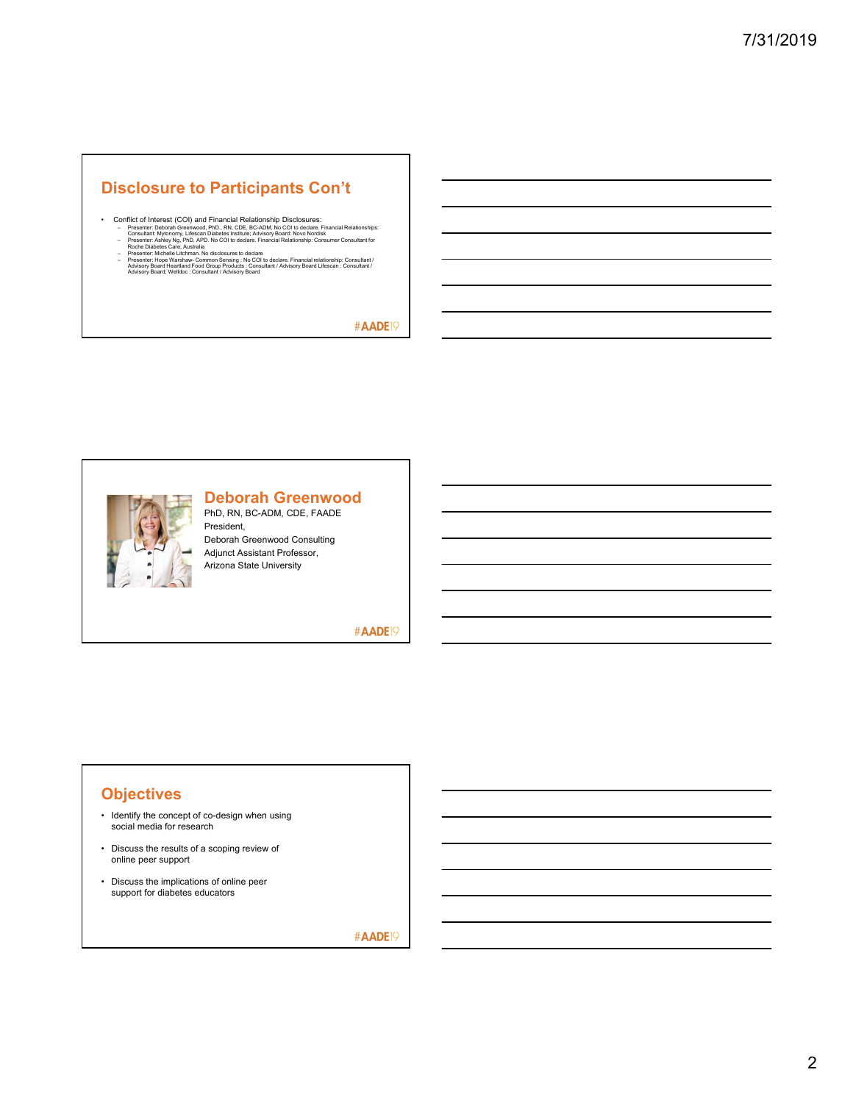## **Disclosure to Participants Con't**

- Conflict of Interest (COI) and Financial Relationship Disclosures:<br>
 Fresenter: Deboral: Greenwood, PhD., RN, CDE, BC-ADM, No COI to declare. Financial Relationships:<br>
 Consultant: Mytonomy, Lifescan Diabetes Institute
	-

#AADE<sup>19</sup>



## **Deborah Greenwood**

PhD, RN, BC-ADM, CDE, FAADE President, Deborah Greenwood Consulting Adjunct Assistant Professor, Arizona State University

#AADE<sup>19</sup>

## **Objectives**

- Identify the concept of co-design when using social media for research
- Discuss the results of a scoping review of online peer support
- Discuss the implications of online peer support for diabetes educators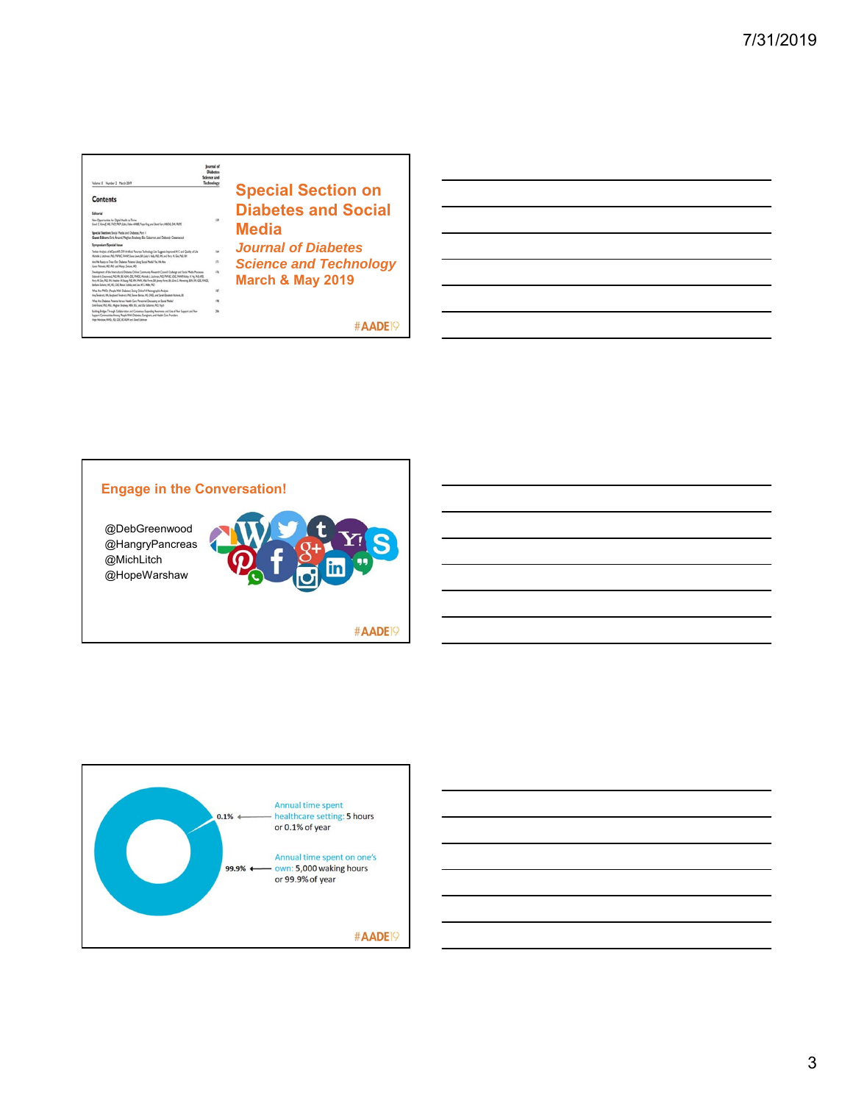| <b>Technology</b><br>Volume IT Number 2 March 2019                                                                                                                                                                                                                                                                                                                                                                                                      |                               |
|---------------------------------------------------------------------------------------------------------------------------------------------------------------------------------------------------------------------------------------------------------------------------------------------------------------------------------------------------------------------------------------------------------------------------------------------------------|-------------------------------|
| <b>Contents</b>                                                                                                                                                                                                                                                                                                                                                                                                                                         | <b>Special Section on</b>     |
|                                                                                                                                                                                                                                                                                                                                                                                                                                                         | <b>Diabetes and Social</b>    |
| New Opportunities for Digital Health to Thrive<br>139<br>Dovid C. Klaudf, MD, FACP, FLOY (Edite), Fellow ADRISE, Frase King, and David Kerr, MBOIS, DM, FROYE                                                                                                                                                                                                                                                                                           |                               |
| Special Section: Social Media and Diabetes, Part 1<br>Guest Editors firk Arged Methan Brydwas Bla Gabarron, and Deborah Greenwood                                                                                                                                                                                                                                                                                                                       | Media                         |
| <b>Symposium/Special Issue</b>                                                                                                                                                                                                                                                                                                                                                                                                                          | <b>Journal of Diabetes</b>    |
| taa<br>Twitter Analysis of #OpenAPS DIY Analysis Pancreas Technology Use Superint Improved ATC and Quality of Life<br>McAde L Listman Rd: Rd AC EARd Dave Louis M. Leak A Sale Rd: RN, and Perry H. Ger, Rd: RN                                                                                                                                                                                                                                         |                               |
| i7i<br>Are We Ready to Treat Our Diabetes Patients Using Social Media/Tex We Are<br>Green Promocki, MD, PhD, and Mariat Zwicost, MD                                                                                                                                                                                                                                                                                                                     | <b>Science and Technology</b> |
| Development of the Intercultural Diabetes Online Community Research Council Codesian and Social Media Processes<br>136<br>Delaral A Greenwald, PIO, BY, BCADM, CDE, FARDE, Michelle L. Litchman, PIO, PAP-BC, CDE, FAANP, Acties HCNg, PIO, APD,<br>Pery M. Gor, PIQ, RK, Heather M. Yaung, PIQ, RK, FARK, Mile Ferrer, BA, Janny Ferrer, BA, Ciric E. Meroening, EDK RK, CDE, FAADE,<br>Series Echerc ML 82 COL Rege Schle, and Live M. L. Miller PiC: | <b>March &amp; May 2019</b>   |
| w<br>Was Are PWDs (People With Diabetes) Doing Online! A Networkplitz Analysis<br>Are limitests MA Busturd Textess, P(2) Tower Barne, ME CHES, and Sandy Elizabeth Richards, ES                                                                                                                                                                                                                                                                         |                               |
| What Are Diabetes Patients Venus Health Care Personnel Discussing on Social Pfedia"<br>$^{19}$<br>Erik Árund PhD, Mix, Meghan Brahess, HBA, BSc, and Elix Galverse, PhD, Psech                                                                                                                                                                                                                                                                          |                               |
| Building Bridges Through Collaboration and Communs Expanding Awareness and Use of Pear Support and Pear<br>28<br>Seport Communities Among People With Diabetes, Caregivers, and Health Care Providers                                                                                                                                                                                                                                                   |                               |
| Hige Norshow RWS: RD CDE BCADM and Dond Edviron                                                                                                                                                                                                                                                                                                                                                                                                         |                               |





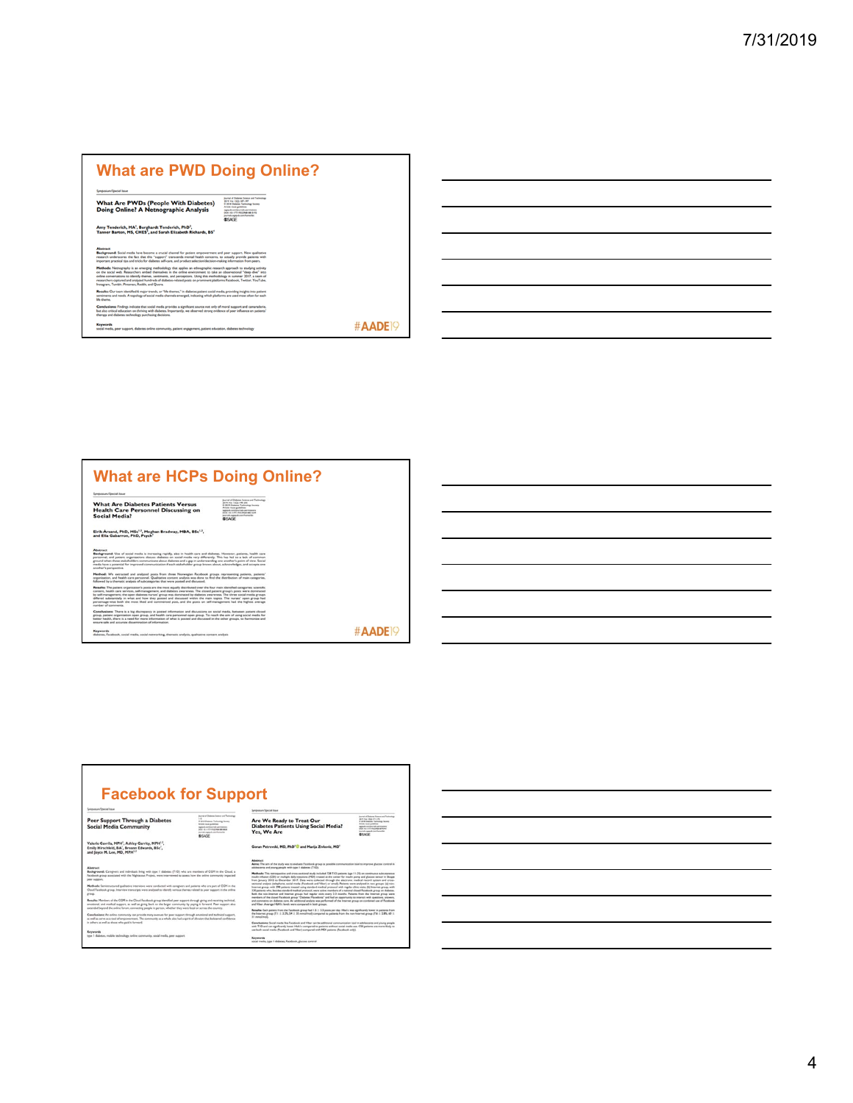### **What are PWD Doing Online?**

**What Are PWDs (People With Diabetes)**<br>Doing Online? A Netnographic Analysis

Amy Tenderich, MA<sup>I</sup>, Burghardt Tenderich, PhD<sup>3</sup>,<br>Tanner Barton, MS, CHES<sup>)</sup>, and Sarah Elizabeth Richards, BS<sup>4</sup>

Abstract<br>Background: Social media have become a crucial channel for patient empowerment and peer support. New qualitative<br>research understores the fict that this "support" transcends mental health concerns, to actually pro means and the state of the filler than the property distribution of the state procedure in the state of the state of the state of the state of the state of the state of the state of the state of the state of the state of musepan.<br>Resultes: Our team identified 6 major trends, or "life themes," in diabetes patient social media, providing insights into patient<br>sentiments and needs. A topology of social media channels emerged, indicating which ings indicate that social media provides a significant source not only of moral support and camaraderie.<br>tation on thriving with diabetes. Importantly, we observed strong evidence of peer influence on patients'<br>is technolo Conclusion<br>but also criti<br>therany and

Keywords<br>social media, peer support, diabetes online community, patient engagement, patient education, diabetes technology



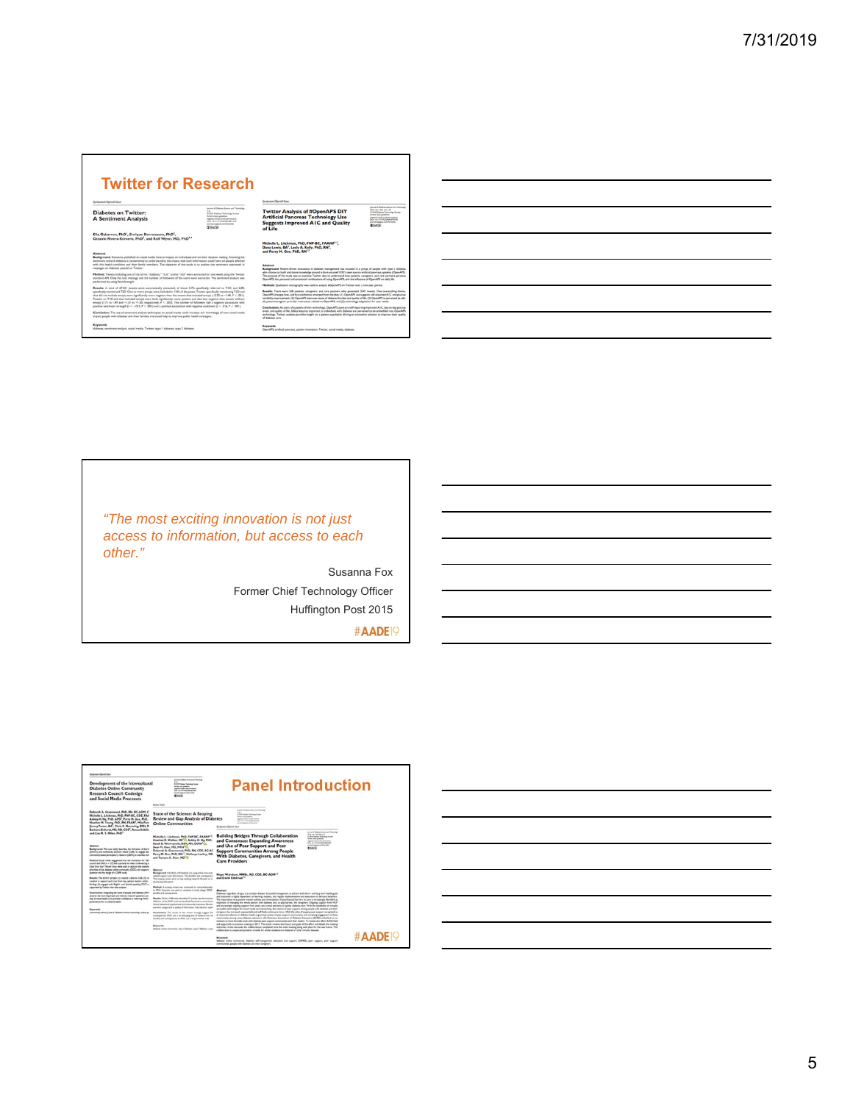| <b>Twitter for Research</b>                                                                                                                                                                                                                                                                                                                                                                                                                                                                                                                                                                                                          |                                                                                                                                                                                                                                                     |                                                                                                                                                                                                                                                                                                                                                                                                                                                                                                                                                                                                |                                                                                                                                                                                                                                                          |
|--------------------------------------------------------------------------------------------------------------------------------------------------------------------------------------------------------------------------------------------------------------------------------------------------------------------------------------------------------------------------------------------------------------------------------------------------------------------------------------------------------------------------------------------------------------------------------------------------------------------------------------|-----------------------------------------------------------------------------------------------------------------------------------------------------------------------------------------------------------------------------------------------------|------------------------------------------------------------------------------------------------------------------------------------------------------------------------------------------------------------------------------------------------------------------------------------------------------------------------------------------------------------------------------------------------------------------------------------------------------------------------------------------------------------------------------------------------------------------------------------------------|----------------------------------------------------------------------------------------------------------------------------------------------------------------------------------------------------------------------------------------------------------|
| Sempension/Special base                                                                                                                                                                                                                                                                                                                                                                                                                                                                                                                                                                                                              |                                                                                                                                                                                                                                                     | Sympanium/Special hour                                                                                                                                                                                                                                                                                                                                                                                                                                                                                                                                                                         |                                                                                                                                                                                                                                                          |
| <b>Diabetes on Twitter:</b><br><b>A Sentiment Analysis</b>                                                                                                                                                                                                                                                                                                                                                                                                                                                                                                                                                                           | Journal of Dateman Science and Tachretian<br><b>District</b><br>O 2018 Debates Technology Science<br>Anale races political<br>superab conditionals permissions<br>THIS 22 LOTS WITCHES ARE LATE<br>tivened and out a confusion that<br><b>BSAGE</b> | <b>Twitter Analysis of #OpenAPS DIY</b><br><b>Artificial Pancreas Technology Use</b><br><b>Suggests Improved AIC and Quality</b><br>of Life                                                                                                                                                                                                                                                                                                                                                                                                                                                    | located at Probates Scheme and Tachmittan<br>Mich and state cars offer<br><b>6 In a Dunge Terrorise Senat</b><br>Article reur guideline:<br><b>Annual conditioned companies</b><br>fals startly excited aren'ts.<br>pump agent down hand<br><b>SSAGE</b> |
| Elia Gabarron, PhD <sup>1</sup> , Enrique Dorronzoro, PhD <sup>2</sup> ,<br>Octavio Rivera-Romero, PhD <sup>1</sup> , and Rolf Wynn, MD, PhD <sup>1,4</sup>                                                                                                                                                                                                                                                                                                                                                                                                                                                                          |                                                                                                                                                                                                                                                     |                                                                                                                                                                                                                                                                                                                                                                                                                                                                                                                                                                                                |                                                                                                                                                                                                                                                          |
| Abstract<br>Background: Corrates published on social media have an impact on individuals and on their decision making. Knowing the<br>sentiment toward diabetes is fundamental to understanding the impact that such information could have on people affected<br>with this health condition and their family members. The objective of this study is to analyze the sentiment expressed in<br>messages on diabetes posted on Twitter.                                                                                                                                                                                               |                                                                                                                                                                                                                                                     | Michelle L. Litchman, PhD, FNP-BC, FAANP13,<br>Dana Lewis, BA <sup>1</sup> , Lesly A. Kelly, PhD, RN <sup>1</sup> ,<br>and Perry M. Gee. PhD. RN <sup>13</sup><br><b>Abstract</b><br>Background: Patient-driven innovation in diabetes management has resulted in a proup of people with type 1 diabetes                                                                                                                                                                                                                                                                                       |                                                                                                                                                                                                                                                          |
| Method: Tweets including one of the terms "diabetes." "cld." and/or "t2d" were extracted for one week using the Twitter<br>standard APL Chily the text message and the number of followers of the users were extracted. The sentiment analysis was<br>performed by using Sentifiz ength.                                                                                                                                                                                                                                                                                                                                             |                                                                                                                                                                                                                                                     | who choose to build and share knowledge around a do-it-yourself (DIY) open source artificial pancreas systems (OpenAPS).<br>The auronse of this study was to examine Twitter data to understand how astients, carazivers, and care partners perceive<br>OpenAPS, the personal and emotional ramifications of using OpenAPS, and the influence of OpenAPS on daily life.                                                                                                                                                                                                                        |                                                                                                                                                                                                                                                          |
| Results: A total of 67421 tweets were autorozically extracted, of those 3.7% specifically referred to TID; and 6.8%<br>specifically mentioned T2D. One or more emois were included in 7.0% of the posts. Tweets specifically mentioning T2D and<br>that did not include emois were significantly more regative than the tweets that included emois 1-2.22 vs ~1.48, P < .001).<br>Tweets on TID and that included emois were both significantly more positive and also less negative than tweets without<br>emoin (1.7) vs 1.49 and -1.31 vs -1.50, respectively, P < .005). The number of followers had a regative association with |                                                                                                                                                                                                                                                     | Methods Qualitative retrography was used to analyze (ChenAPS on Twitter over a two-year nerical<br>Results: There were 328 patients, caregivers, and care partners who penerated 3347 tweets. One overanching theme,<br>OpenAPS changes lives, and five subthemes emerged from the data: (1) OpenAPS use suggests self-reported A1C and glucose<br>variability improvement, (2) OpenAPS improves sense of disbetes burden and quality of Ms. (3) OpenAPS is perceived as safe.<br>(4) patient/caregiver-provider interaction related to OpenAPS, and (5) technology adaptation for user needs. |                                                                                                                                                                                                                                                          |
| positive senteners strength (r = -. 023, P < . 001) and a positive association with regative senteners (r = . 016, P < . 001).<br>Conclusion: The use of senimers analysis techniques on social media could increase our knowledge of how social media<br>impact people with disbetes and their families and could help to improve public health strategies.                                                                                                                                                                                                                                                                         |                                                                                                                                                                                                                                                     | Conclusions: As users of a patient-driven technology. OpenAPS users are self-reporting improved AIC, day-to-day glucose<br>levels, and quality of life. Safety features important to individuals with diabetes are perceived to be embedded into OpenAPS<br>technology. Twitter analysis provides insight on a patient population driving an innovative solution to improve their quality<br>of disheres care.                                                                                                                                                                                 |                                                                                                                                                                                                                                                          |
| Keywords:                                                                                                                                                                                                                                                                                                                                                                                                                                                                                                                                                                                                                            |                                                                                                                                                                                                                                                     | Keywords                                                                                                                                                                                                                                                                                                                                                                                                                                                                                                                                                                                       |                                                                                                                                                                                                                                                          |

*"The most exciting innovation is not just access to information, but access to each other."*

> Susanna Fox Former Chief Technology Officer Huffington Post 2015



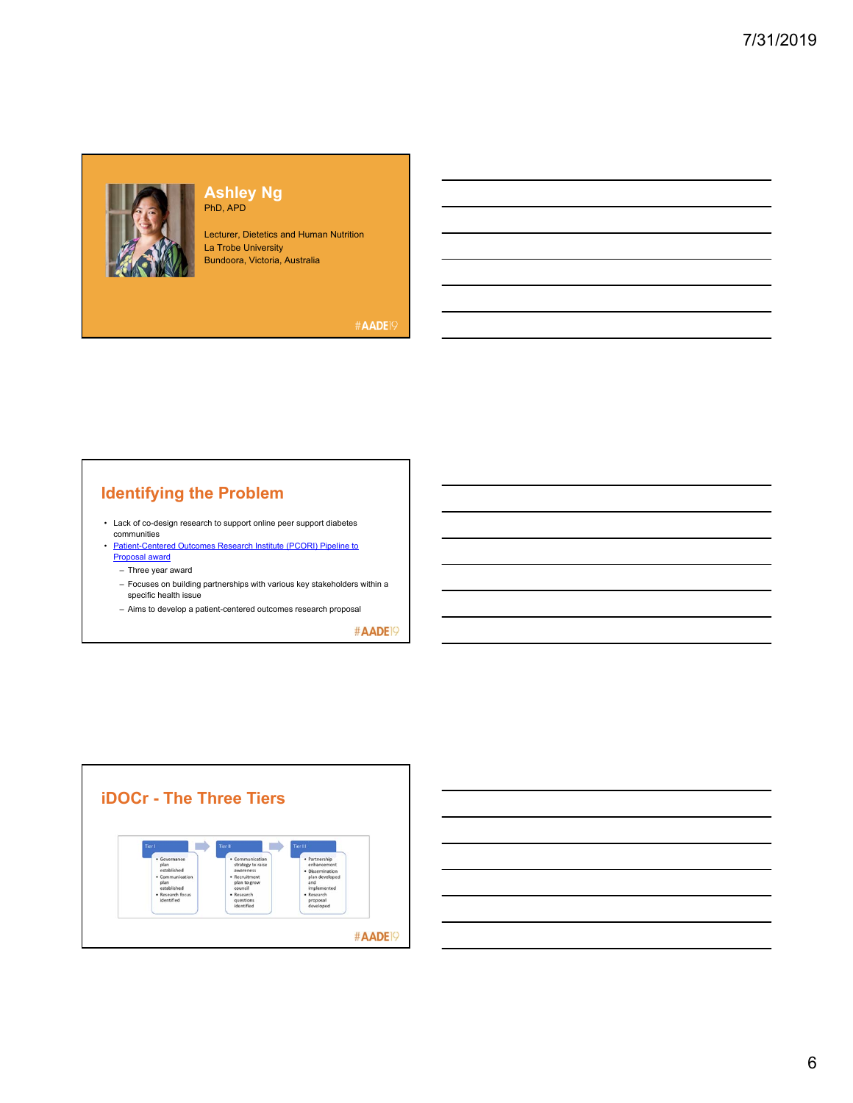

### **Ashley Ng** PhD, APD

Lecturer, Dietetics and Human Nutrition La Trobe University Bundoora, Victoria, Australia

### #AADE<sup>19</sup>

# **Identifying the Problem**

- Lack of co-design research to support online peer support diabetes communities
- Patient-Centered Outcomes Research Institute (PCORI) Pipeline to Proposal award
	- Three year award
	- Focuses on building partnerships with various key stakeholders within a specific health issue
	- Aims to develop a patient-centered outcomes research proposal

#AADE<sup>19</sup>





6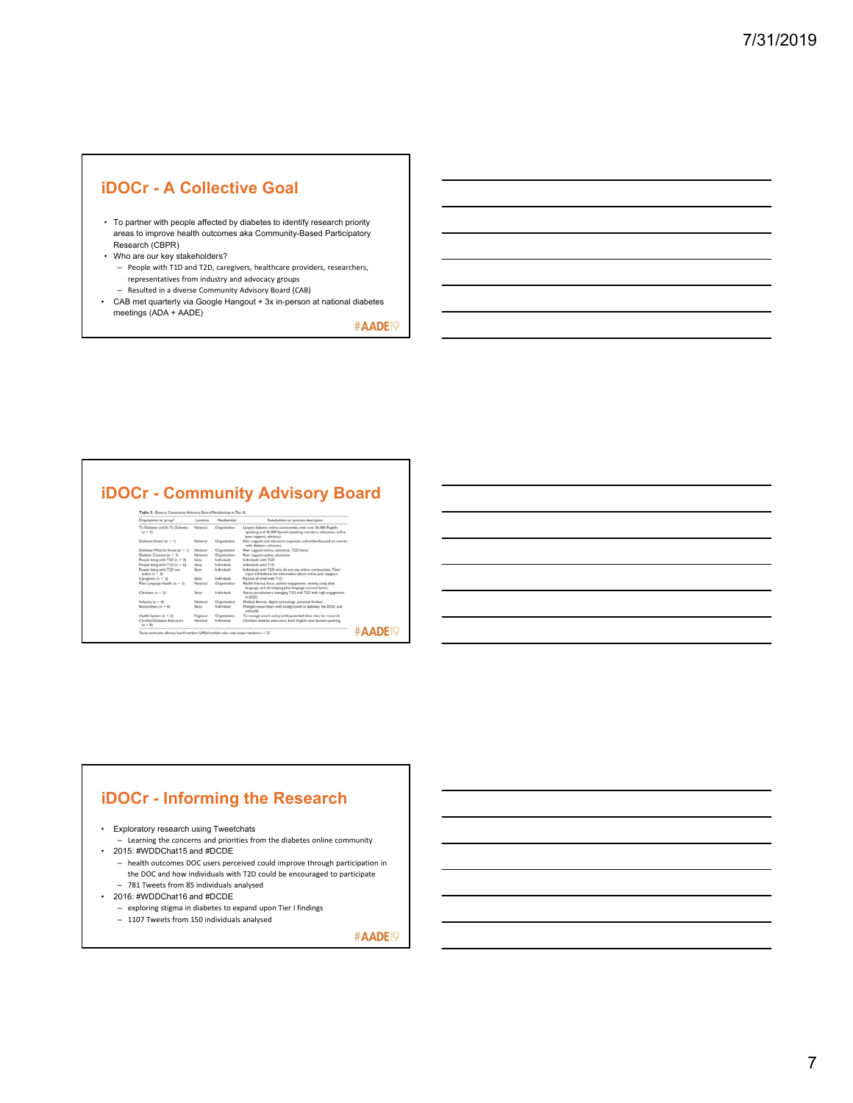## **iDOCr - A Collective Goal**

- To partner with people affected by diabetes to identify research priority areas to improve health outcomes aka Community-Based Participatory Research (CBPR)
- Who are our key stakeholders? – People with T1D and T2D, caregivers, healthcare providers, researchers,
	- representatives from industry and advocacy groups – Resulted in a diverse Community Advisory Board (CAB)
- CAB met quarterly via Google Hangout + 3x in-person at national diabetes meetings (ADA + AADE)

#AADE<sup>19</sup>

## **iDOCr - Community Advisory Board**

| Organization or group"                         | Location | Membership   | Stakeholders or partners description.                                                                                                                      |  |
|------------------------------------------------|----------|--------------|------------------------------------------------------------------------------------------------------------------------------------------------------------|--|
| Tu Disbetes and Es Tu Disbetes<br>$(n = 2)$    | National | Organization | Largest diabetes online communities with over 30,000 English-<br>speaking and 30,000 Spanish-speaking members; education, online<br>peer support, advocacy |  |
| Diabetes Sisters (n = 1)                       | National | Organization | Peer support and education in-person and online focused on women<br>with diabetes, advocacy                                                                |  |
| Disbetes What to Know (n = 1)                  | National | Organization | Peer support online, education, T2D focus                                                                                                                  |  |
| Diabetic Connect (n = 1)                       | National | Organization | Peer support online, education                                                                                                                             |  |
| People living with T2D (n = 3)                 | State    | Individuals  | Individuals with T2D                                                                                                                                       |  |
| People living with TID (n = 6)                 | State    | Individuals  | Individuals with TID                                                                                                                                       |  |
| People living with T2D not<br>online $(n = 2)$ | State    | Individuals  | Individuals with T2D who do not use online communities. Their<br>input will balance the information about online peer support.                             |  |
| Caregivers $(n = 2)$                           | State    | Individuals  | Parents of child with TID                                                                                                                                  |  |
| Plain Language Health (n = 1)                  | National | Organization | Health literacy focus, patient engagement, writing using plain<br>language, and developing plain language consent forms.                                   |  |
| Clinicians $(n = 2)$                           | State    | Individuals  | Nurse practitioners managing TID and T2D with high engagement.<br>in DOC                                                                                   |  |
| Industry $(n = 4)$                             | National | Organization | Medical devices, digital technology, potential funders                                                                                                     |  |
| Researchers (n = 6)                            | State    | Individuals  | Multiple researchers with backgrounds in diabetes, the DOC and<br>reddaulth                                                                                |  |
| Health System (n = 2)                          | Regional | Organization | To manage award and provide potential clinic sites for research                                                                                            |  |
| Cortified Diabetes Educators<br>$(n - 8)$      | National | Individuals  | Certified diabetes educators, both English- and Spanish-speaking                                                                                           |  |

## **iDOCr - Informing the Research**

- Exploratory research using Tweetchats
- Learning the concerns and priorities from the diabetes online community • 2015: #WDDChat15 and #DCDE
- health outcomes DOC users perceived could improve through participation in the DOC and how individuals with T2D could be encouraged to participate – 781 Tweets from 85 individuals analysed
- 2016: #WDDChat16 and #DCDE
	- exploring stigma in diabetes to expand upon Tier I findings
	- 1107 Tweets from 150 individuals analysed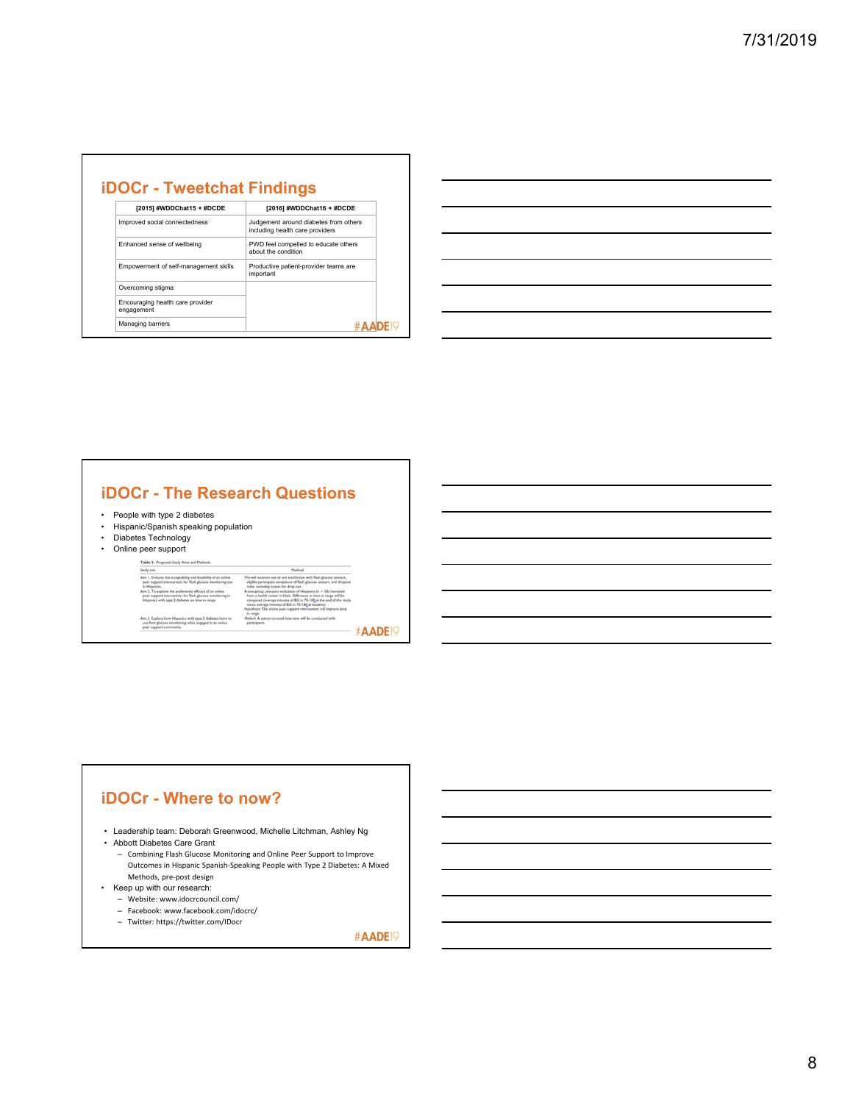| [2015] #WDDChat15 + #DCDE                      | [2016] #WDDChat16 + #DCDE                                                |
|------------------------------------------------|--------------------------------------------------------------------------|
| Improved social connectedness                  | Judgement around diabetes from others<br>including health care providers |
| Enhanced sense of wellbeing                    | PWD feel compelled to educate others<br>about the condition              |
| Empowerment of self-management skills          | Productive patient-provider teams are<br>important                       |
| Overcoming stigma                              |                                                                          |
| Encouraging health care provider<br>engagement |                                                                          |
| Managing barriers                              |                                                                          |

| <u> 1989 - Johann John Harry Harry Harry Harry Harry Harry Harry Harry Harry Harry Harry Harry Harry Harry Harry H</u> |  |  |
|------------------------------------------------------------------------------------------------------------------------|--|--|
| <u> 1989 - Johann Stoff, amerikansk politiker (* 1908)</u>                                                             |  |  |
|                                                                                                                        |  |  |
| <u> 1989 - Johann John Stone, markin sanadi amerikan bahasa dalam pengaran sebagai pengaran sebagai pengaran seba</u>  |  |  |
|                                                                                                                        |  |  |
|                                                                                                                        |  |  |

## **iDOCr - The Research Questions**

- People with type 2 diabetes
- Hispanic/Spanish speaking population • Diabetes Technology
- 
- Online peer support

#### Table S. Proposed Study Aims and Met **THE SAMPLE THE SECOND FORMATION CONTINUES.**<br>
Study aim<br>
Am 1. Texhants the acceptability and fissiolity of an online<br>
per support intervention for flash glucose monitoring use<br>
an Hisparics.<br>
Am 1. To explore in peripensi Method<br>satisfaction with flash glucose sens  $We will start the path of a single part rate, include a one-group, from a health compared  $\ell$  minus several$ - 1 in range.<br>Method A

Aim 3. Explore how Hispanics with type 2 disbetes learn to<br>use flash glucose monitoring while engaged in an online<br>peer support community.

| (average minutes of BG in 70-180 at the end of the study<br>age minutes of BG in 70-180 at baseline).<br>The online peer support intervention will improve time<br>enistructured interview will be conducted with<br>s. |                           |
|-------------------------------------------------------------------------------------------------------------------------------------------------------------------------------------------------------------------------|---------------------------|
|                                                                                                                                                                                                                         | <b>#AADE</b> <sup>9</sup> |

## **iDOCr - Where to now?**

• Leadership team: Deborah Greenwood, Michelle Litchman, Ashley Ng

• Abbott Diabetes Care Grant

- Combining Flash Glucose Monitoring and Online Peer Support to Improve Outcomes in Hispanic Spanish‐Speaking People with Type 2 Diabetes: A Mixed
- Methods, pre‐post design
- Keep up with our research:
	- Website: www.idocrcouncil.com/
	- Facebook: www.facebook.com/idocrc/
	- Twitter: https://twitter.com/IDocr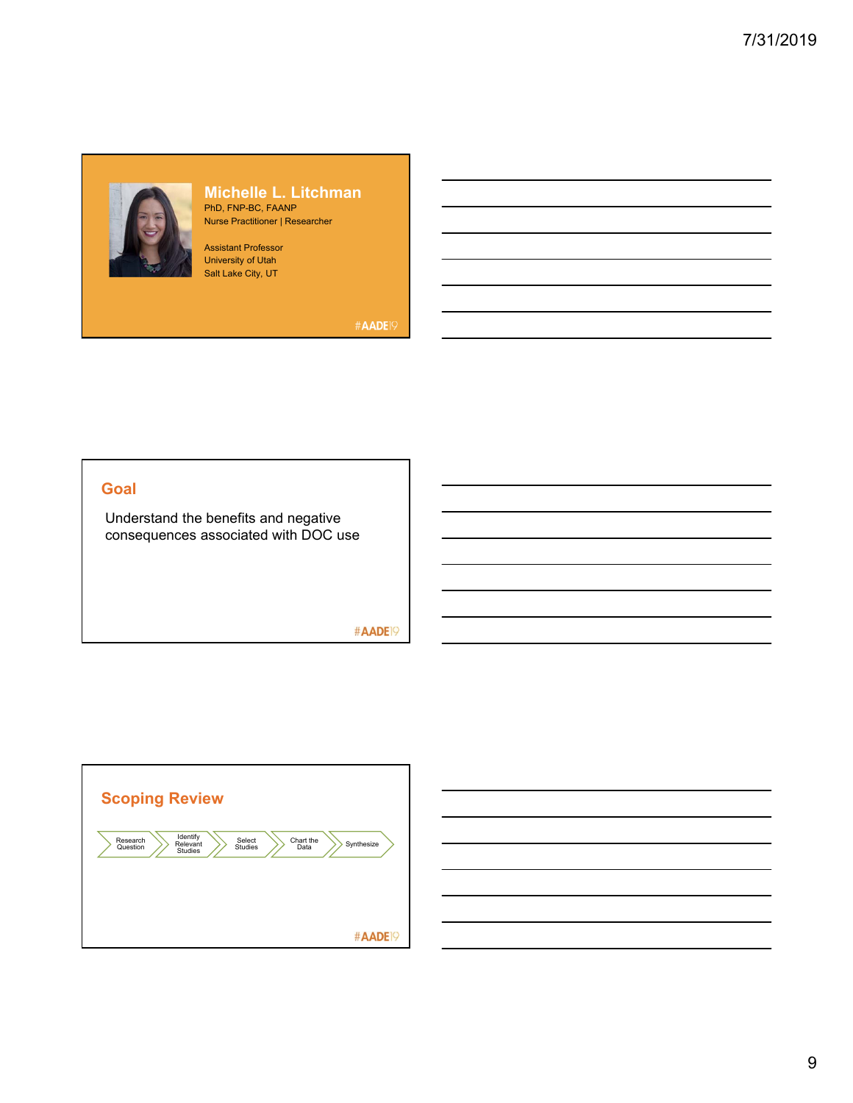

### **Michelle L. Litchman** PhD, FNP-BC, FAANP

Nurse Practitioner | Researcher

Assistant Professor University of Utah Salt Lake City, UT

#AADE<sup>19</sup>

### **Goal**

Understand the benefits and negative consequences associated with DOC use

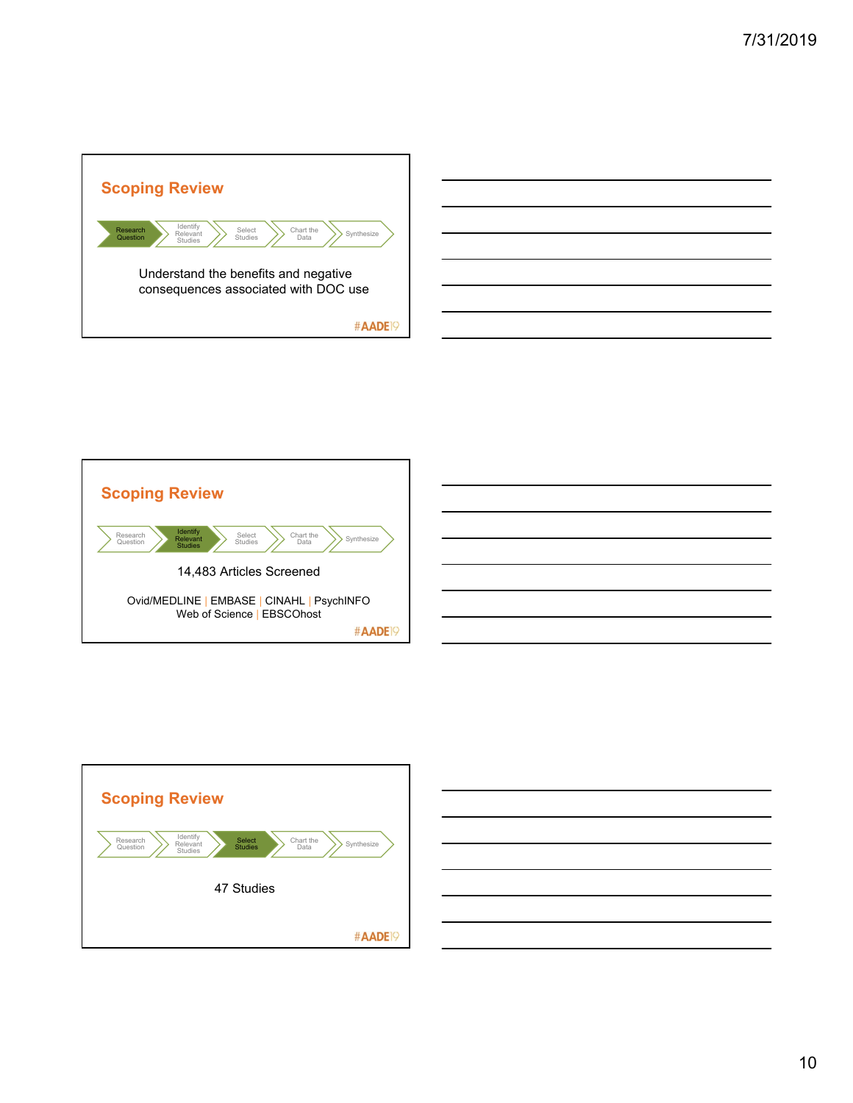





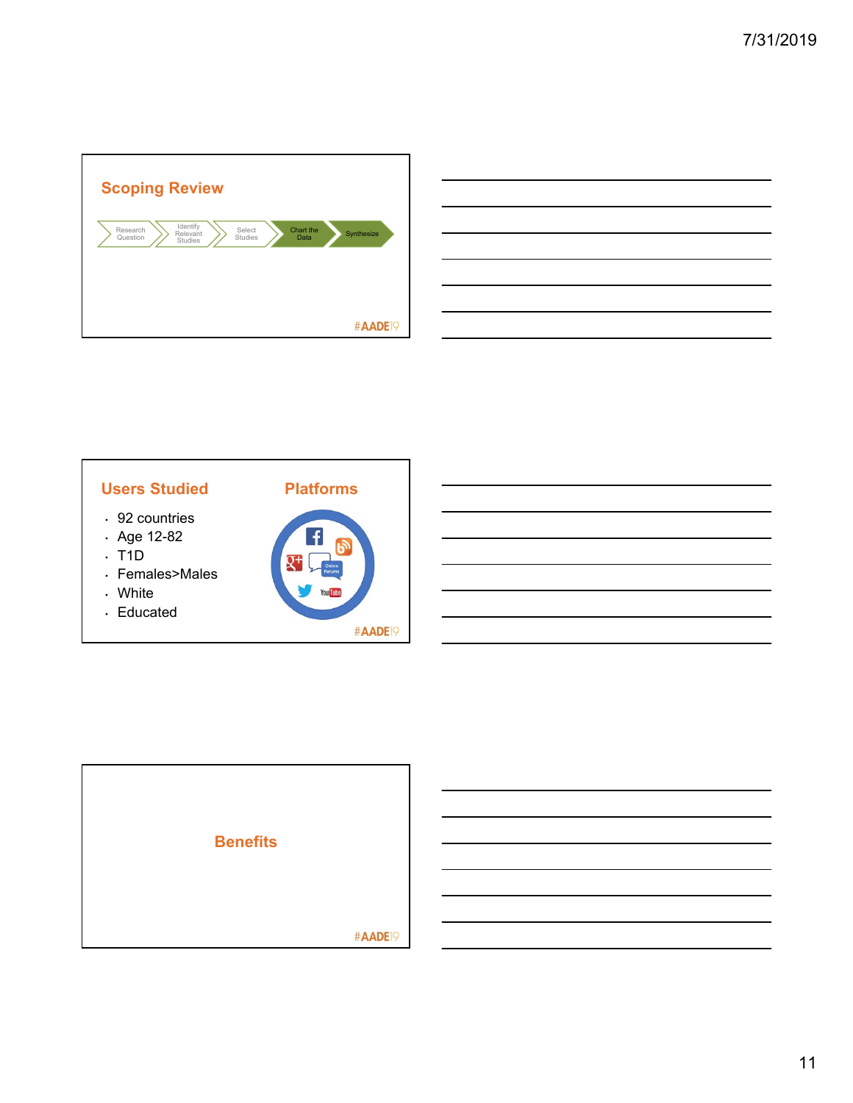

| <u>state and the state of the state of the state of the state of the state of the state of the state of the state of the state of the state of the state of the state of the state of the state of the state of the state of the</u> |  |  |
|--------------------------------------------------------------------------------------------------------------------------------------------------------------------------------------------------------------------------------------|--|--|
|                                                                                                                                                                                                                                      |  |  |
|                                                                                                                                                                                                                                      |  |  |
| <u> 1989 - Johann Stoff, deutscher Stoff, der Stoff, der Stoff, der Stoff, der Stoff, der Stoff, der Stoff, der S</u>                                                                                                                |  |  |
|                                                                                                                                                                                                                                      |  |  |
| <u> Andreas Andreas Andreas Andreas Andreas Andreas Andreas Andreas Andreas Andreas Andreas Andreas Andreas Andreas Andreas Andreas Andreas Andreas Andreas Andreas Andreas Andreas Andreas Andreas Andreas Andreas Andreas Andr</u> |  |  |
|                                                                                                                                                                                                                                      |  |  |
|                                                                                                                                                                                                                                      |  |  |



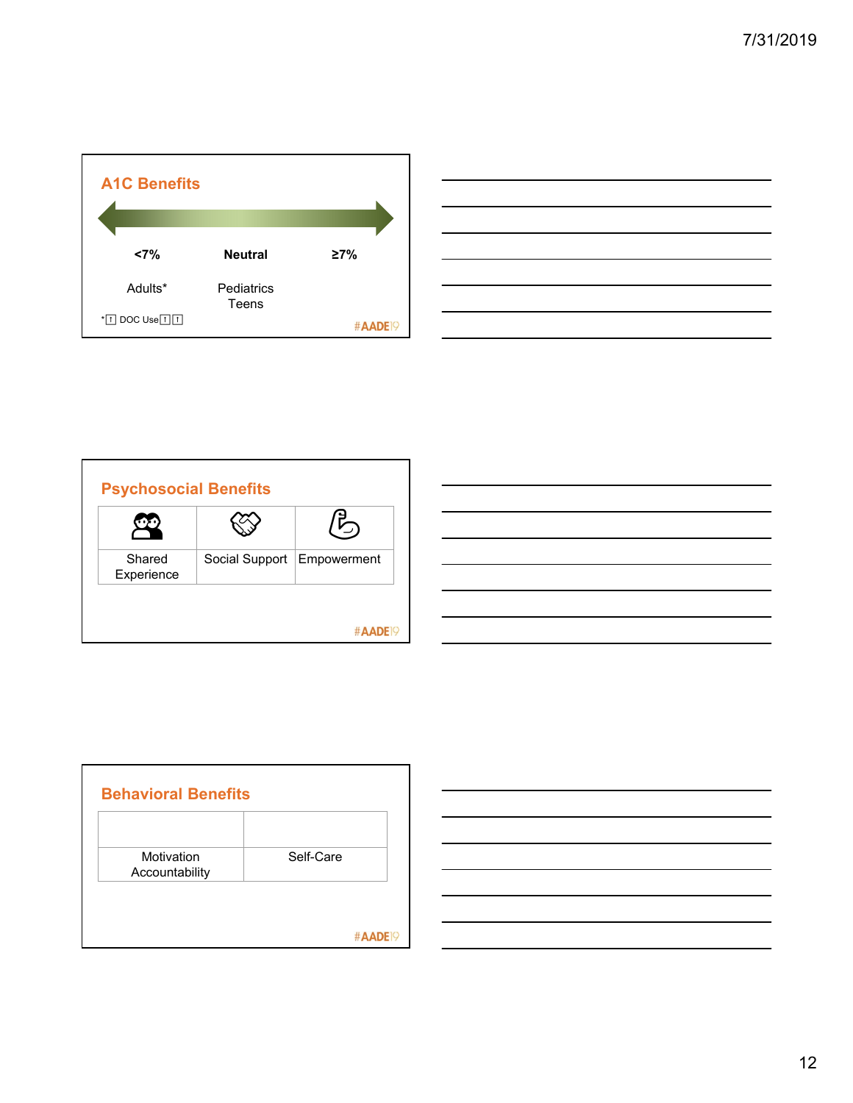| <b>A1C Benefits</b>         |                     |                     |
|-----------------------------|---------------------|---------------------|
| <7%                         | <b>Neutral</b>      | 27%                 |
| Adults*                     | Pediatrics<br>Teens |                     |
| $*$ T DOC Use $\Box$ $\Box$ |                     | #AADE <sup>19</sup> |

| ,我们也不会有什么。""我们的人,我们也不会有什么?""我们的人,我们也不会有什么?""我们的人,我们也不会有什么?""我们的人,我们也不会有什么?""我们的人                                      |  |  |
|-----------------------------------------------------------------------------------------------------------------------|--|--|
|                                                                                                                       |  |  |
| <u> 1989 - Johann Barbara, martxa alemaniar argamento este alemaniar alemaniar alemaniar alemaniar alemaniar a</u>    |  |  |
| <u> 1989 - Johann Barn, mars ann an t-Amhainn an t-Amhainn an t-Amhainn an t-Amhainn an t-Amhainn an t-Amhainn an</u> |  |  |
|                                                                                                                       |  |  |
| <u> 1989 - Andrea Santa Andrea Andrea Andrea Andrea Andrea Andrea Andrea Andrea Andrea Andrea Andrea Andrea Andr</u>  |  |  |
| <u> 1989 - Andrea Santa Andrea Andrea Andrea Andrea Andrea Andrea Andrea Andrea Andrea Andrea Andrea Andrea Andr</u>  |  |  |

|                      |                              | $\vec{5}$ |
|----------------------|------------------------------|-----------|
| Shared<br>Experience | Social Support   Empowerment |           |

| Motivation<br>Accountability | Self-Care |
|------------------------------|-----------|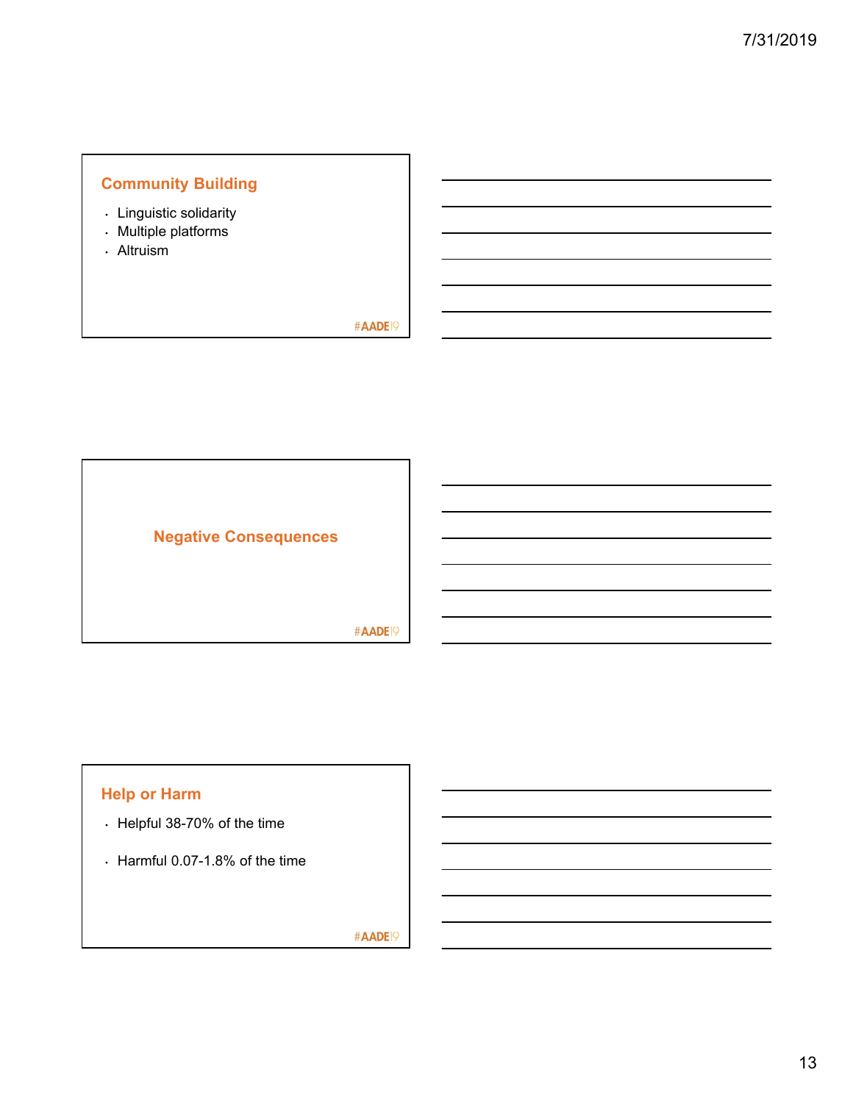## **Community Building**

- Linguistic solidarity
- Multiple platforms
- Altruism

#AADE<sup>19</sup>



## **Help or Harm**

- Helpful 38-70% of the time
- Harmful 0.07-1.8% of the time

#AADE19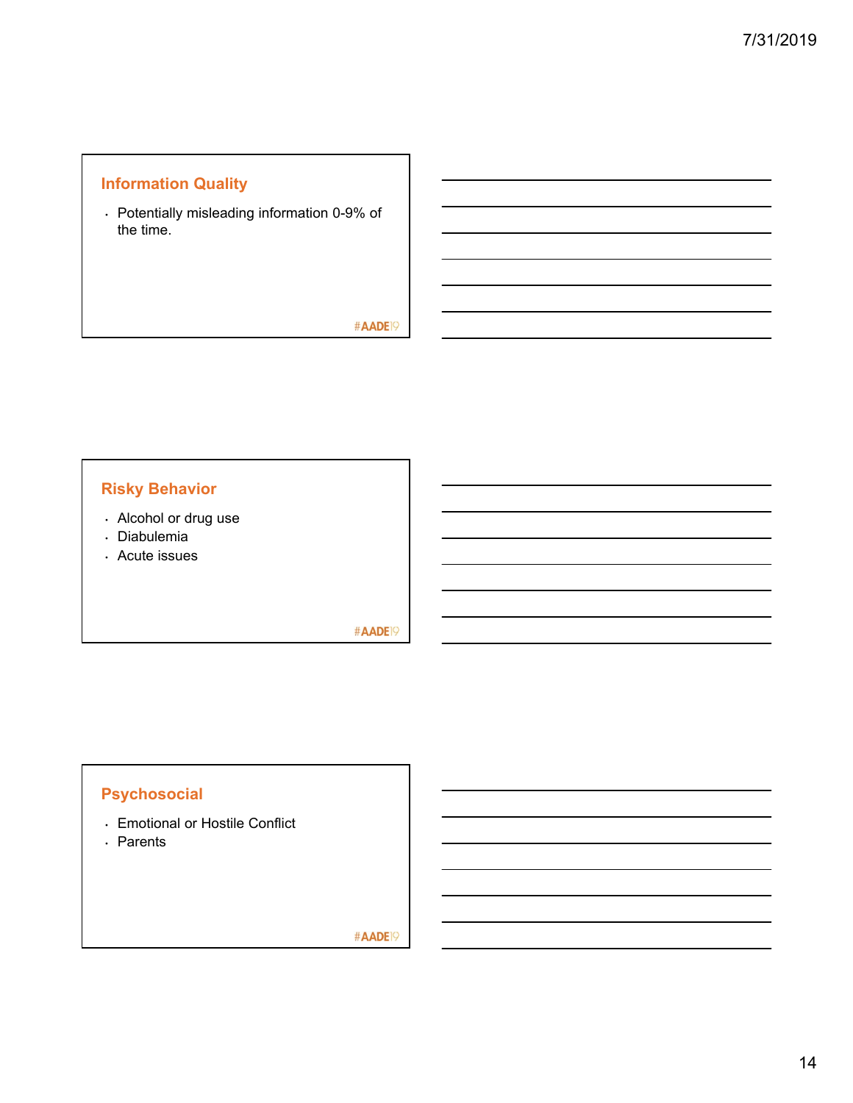## **Information Quality**

• Potentially misleading information 0-9% of the time.

#AADE<sup>19</sup>

## **Risky Behavior**

- Alcohol or drug use
- Diabulemia
- Acute issues

#AADE<sup>19</sup>

# **Psychosocial**

- Emotional or Hostile Conflict
- Parents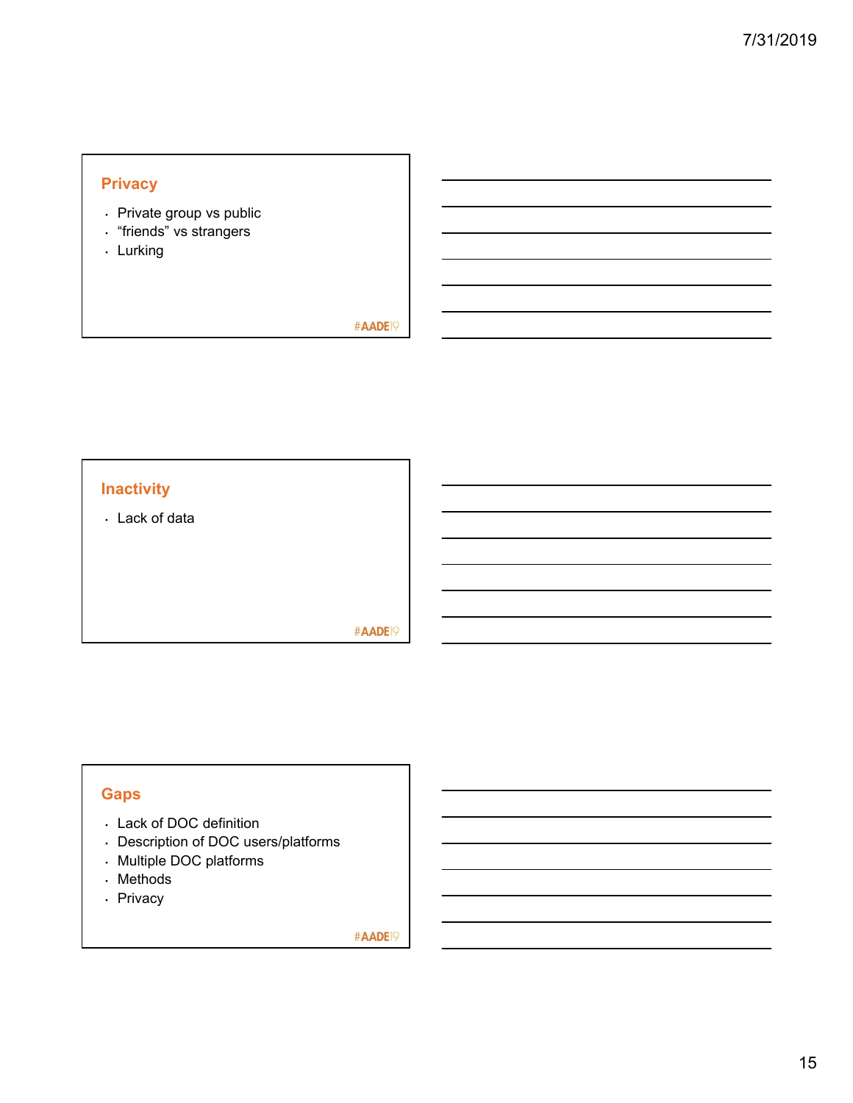## **Privacy**

- Private group vs public
- "friends" vs strangers
- Lurking

### #AADE<sup>19</sup>

## **Inactivity**

• Lack of data

#AADE<sup>19</sup>

## **Gaps**

- Lack of DOC definition
- Description of DOC users/platforms
- Multiple DOC platforms
- Methods
- Privacy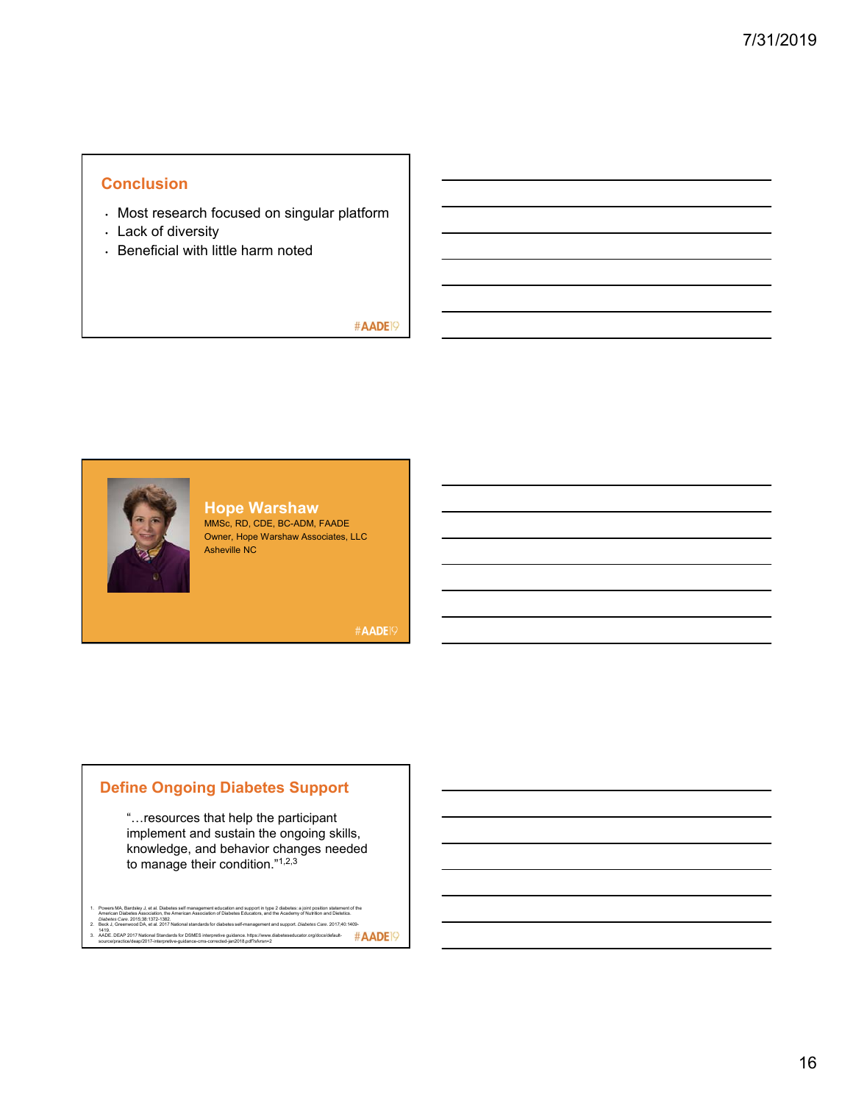## **Conclusion**

- Most research focused on singular platform
- Lack of diversity
- Beneficial with little harm noted

### #AADE<sup>19</sup>



**Hope Warshaw** MMSc, RD, CDE, BC-ADM, FAADE Owner, Hope Warshaw Associates, LLC Asheville NC

#AADE<sup>19</sup>

### **Define Ongoing Diabetes Support**

"…resources that help the participant implement and sustain the ongoing skills, knowledge, and behavior changes needed to manage their condition."1,2,3

- 
- 
- 1. Powers MA, Barckley, J. et al. Diabetes self management education and support is type of diabetes: a joint position shattement of the<br>American Diabetes Association, the American Association of Diabetes Educators, and th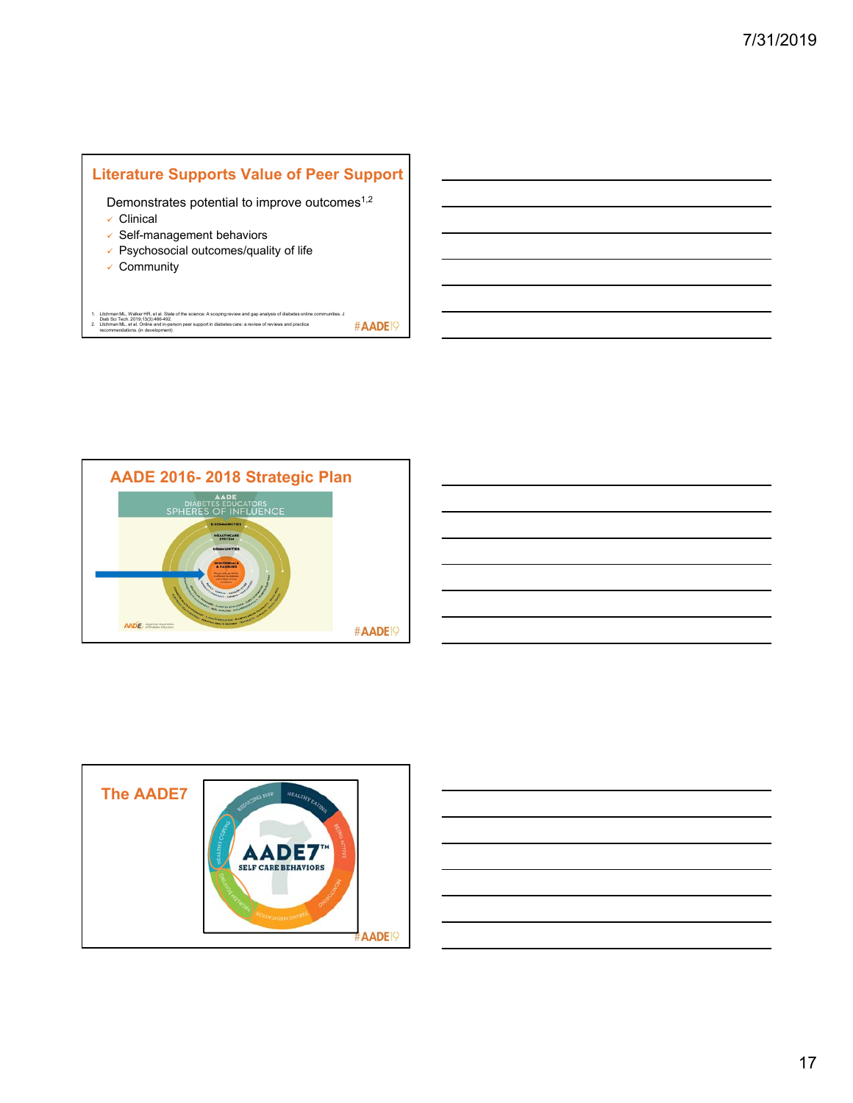## **Literature Supports Value of Peer Support**

Demonstrates potential to improve outcomes<sup>1,2</sup>

- Clinical
- $\checkmark$  Self-management behaviors
- $\checkmark$  Psychosocial outcomes/quality of life
- $\checkmark$  Community

1. Litchman ML, Walker HR, et al. State of the science: A scoping review and gap analysis of diabetes online communities. J<br>\_ Diab Sci Tech. 2019;13(3):466-492.<br>\_ recommendations. (in development)<br>\_ recommendations. (in de #AADE<sup>19</sup>





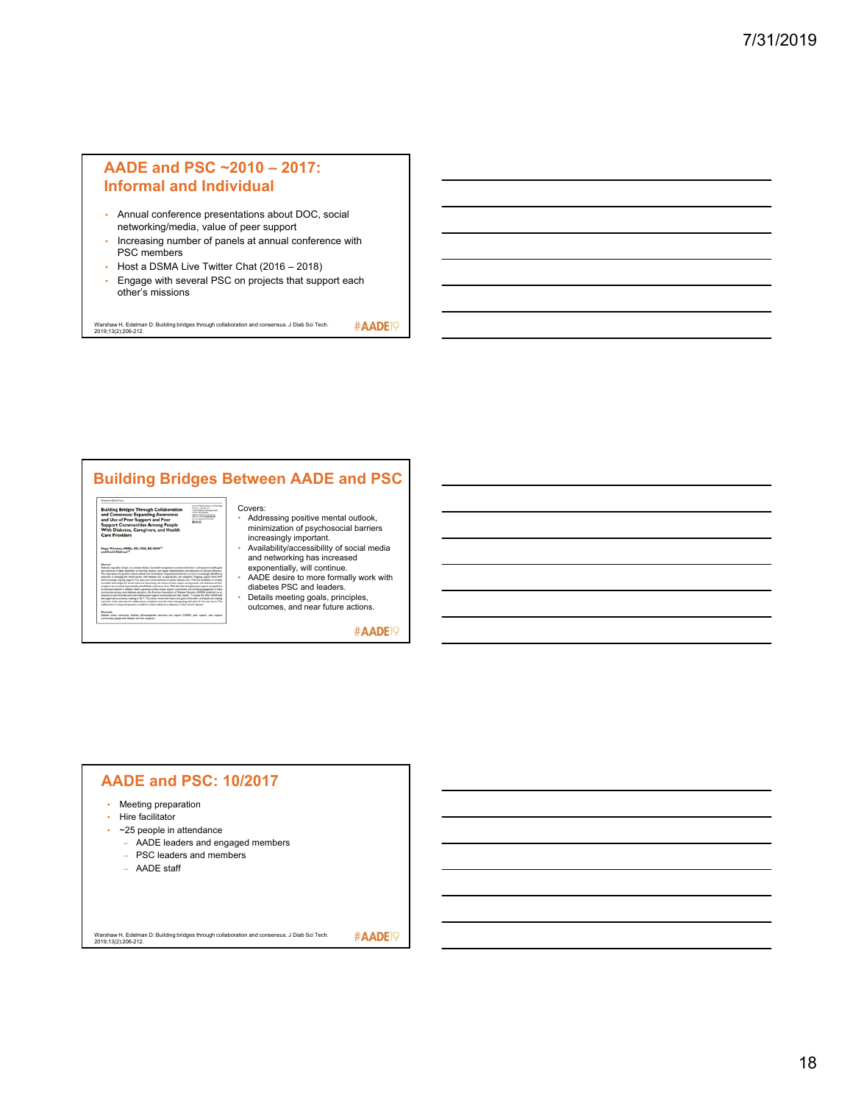## **AADE and PSC ~2010 – 2017: Informal and Individual**

- Annual conference presentations about DOC, social networking/media, value of peer support
- Increasing number of panels at annual conference with PSC members
- Host a DSMA Live Twitter Chat (2016 2018)
- Engage with several PSC on projects that support each other's missions

Warshaw H, Edelman D: Building bridges through collaboration and consensus. J Diab Sci Tech. 2019;13(2):206-212.

## **Building Bridges Between AADE and PSC**



Hope Warshaw, MM

#### Covers: • Addressing positive mental outlook, minimization of psychosocial barriers

- increasingly important. Availability/accessibility of social media
- and networking has increased exponentially, will continue. AADE desire to more formally work with diabetes PSC and leaders.
- Details meeting goals, principles, outcomes, and near future actions.

#AADE<sup>19</sup>

#AADE<sup>19</sup>

## **AADE and PSC: 10/2017** • Meeting preparation • Hire facilitator • ~25 people in attendance – AADE leaders and engaged members – PSC leaders and members – AADE staff #AADE<sup>19</sup> Warshaw H, Edelman D: Building bridges through collaboration and consensus. J Diab Sci Tech. 2019;13(2):206-212.

18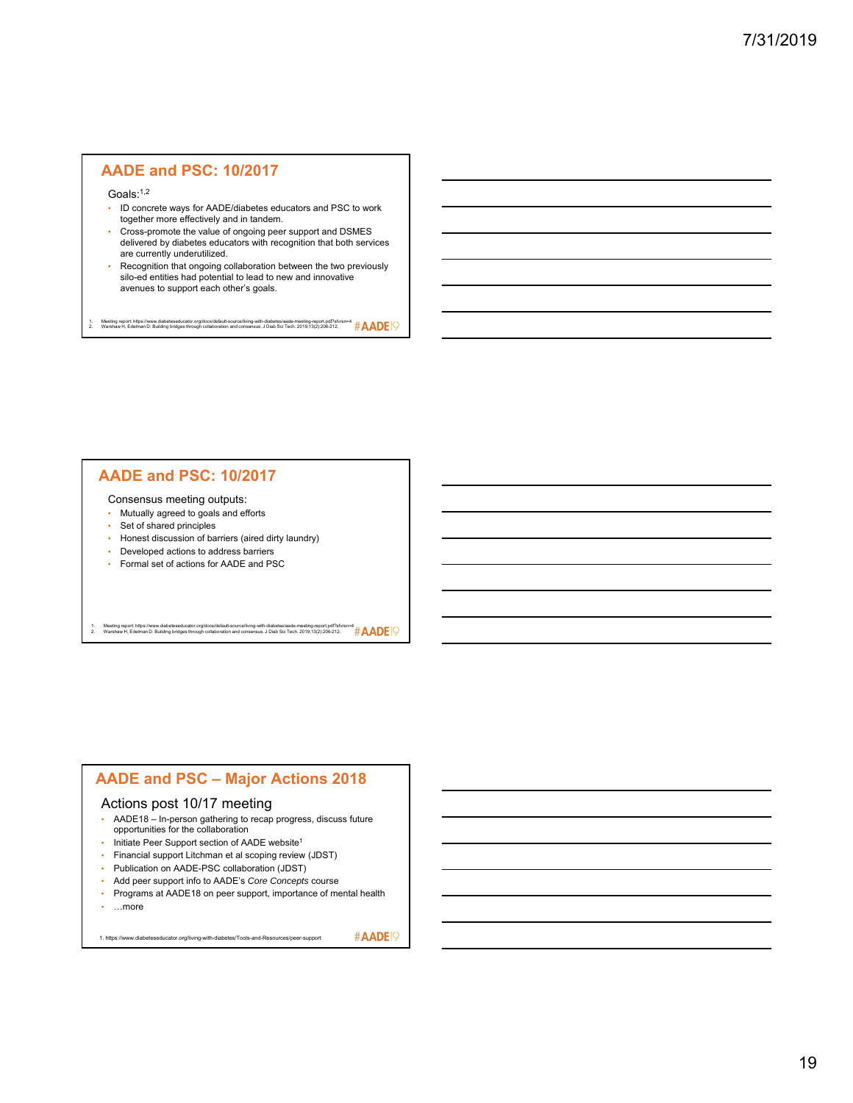### **AADE and PSC: 10/2017**

Goals:<sup>1,2</sup>

- ID concrete ways for AADE/diabetes educators and PSC to work together more effectively and in tandem.
- Cross-promote the value of ongoing peer support and DSMES delivered by diabetes educators with recognition that both services are currently underutilized.
- Recognition that ongoing collaboration between the two previously silo-ed entities had potential to lead to new and innovative avenues to support each other's goals.

1. Meeting report: https://www.diabeteseducator.org/docs/default-source/living-with-diabetes/aade-meeting-report.pdf?sfvrsn≖4<br>2. Warshaw H, Edelman D: Building bridges through collaboration and consensus. J Diab Sci

### **AADE and PSC: 10/2017**

Consensus meeting outputs:

- Mutually agreed to goals and efforts
- Set of shared principles
- Honest discussion of barriers (aired dirty laundry)
- Developed actions to address barriers
- Formal set of actions for AADE and PSC

1. Meeting report: https://www.diabeteseducator.org/docs/default-source/living-with-diabetes/aade-meeting-report.pdf?sfvrsn=4<br>2. Warshaw H, Edelman D: Building bridges through collaboration and consensus. J Diab Sci

### **AADE and PSC – Major Actions 2018**

#### Actions post 10/17 meeting

- AADE18 In-person gathering to recap progress, discuss future opportunities for the collaboration
- Initiate Peer Support section of AADE website<sup>1</sup>
- Financial support Litchman et al scoping review (JDST)
- Publication on AADE-PSC collaboration (JDST)
- Add peer support info to AADE's *Core Concepts* course
- Programs at AADE18 on peer support, importance of mental health • …more

1. https://www.diabeteseducator.org/living-with-diabetes/Tools-and-Resources/peer-support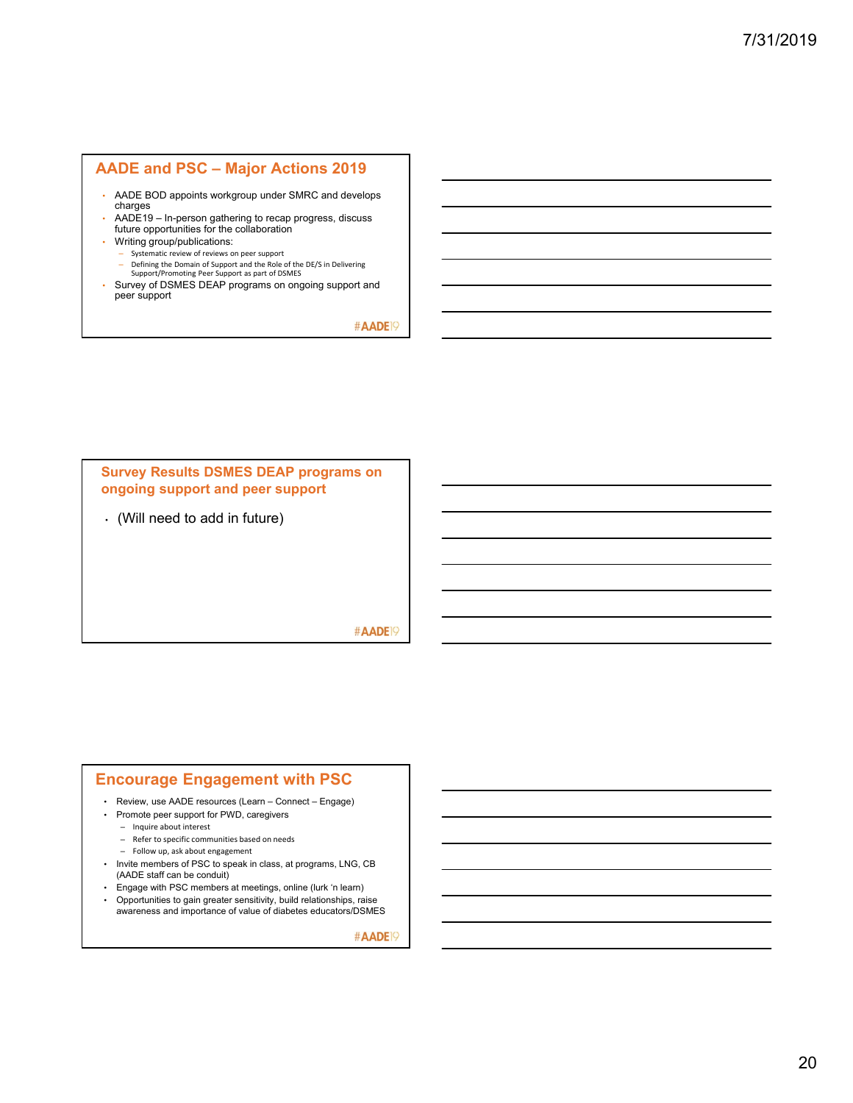## **AADE and PSC – Major Actions 2019**

- AADE BOD appoints workgroup under SMRC and develops charges
- AADE19 In-person gathering to recap progress, discuss future opportunities for the collaboration
- Writing group/publications:
	- Systematic review of reviews on peer support
	- Defining the Domain of Support and the Role of the DE/S in Delivering Support/Promoting Peer Support as part of DSMES
- Survey of DSMES DEAP programs on ongoing support and peer support

#AADE<sup>19</sup>



#AADE<sup>19</sup>

### **Encourage Engagement with PSC**

• Review, use AADE resources (Learn – Connect – Engage)

- Promote peer support for PWD, caregivers
	- Inquire about interest
	- Refer to specific communities based on needs
	- Follow up, ask about engagement
- Invite members of PSC to speak in class, at programs, LNG, CB (AADE staff can be conduit)
- Engage with PSC members at meetings, online (lurk 'n learn)
- Opportunities to gain greater sensitivity, build relationships, raise awareness and importance of value of diabetes educators/DSMES